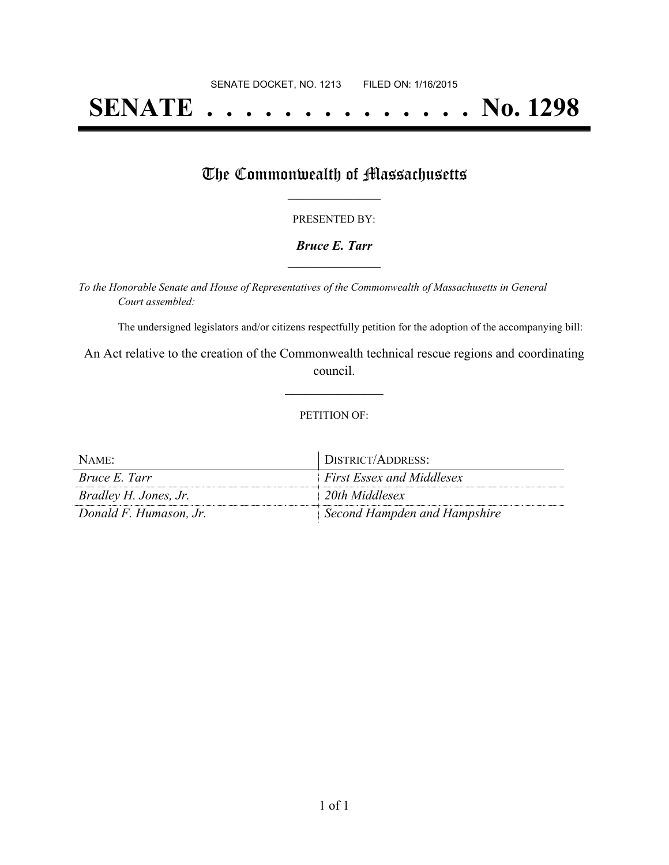# **SENATE . . . . . . . . . . . . . . No. 1298**

### The Commonwealth of Massachusetts

#### PRESENTED BY:

#### *Bruce E. Tarr* **\_\_\_\_\_\_\_\_\_\_\_\_\_\_\_\_\_**

*To the Honorable Senate and House of Representatives of the Commonwealth of Massachusetts in General Court assembled:*

The undersigned legislators and/or citizens respectfully petition for the adoption of the accompanying bill:

An Act relative to the creation of the Commonwealth technical rescue regions and coordinating council.

**\_\_\_\_\_\_\_\_\_\_\_\_\_\_\_**

#### PETITION OF:

| NAME:                  | DISTRICT/ADDRESS:                |
|------------------------|----------------------------------|
| <i>Bruce E. Tarr</i>   | <b>First Essex and Middlesex</b> |
| Bradley H. Jones, Jr.  | 20th Middlesex                   |
| Donald F. Humason, Jr. | Second Hampden and Hampshire     |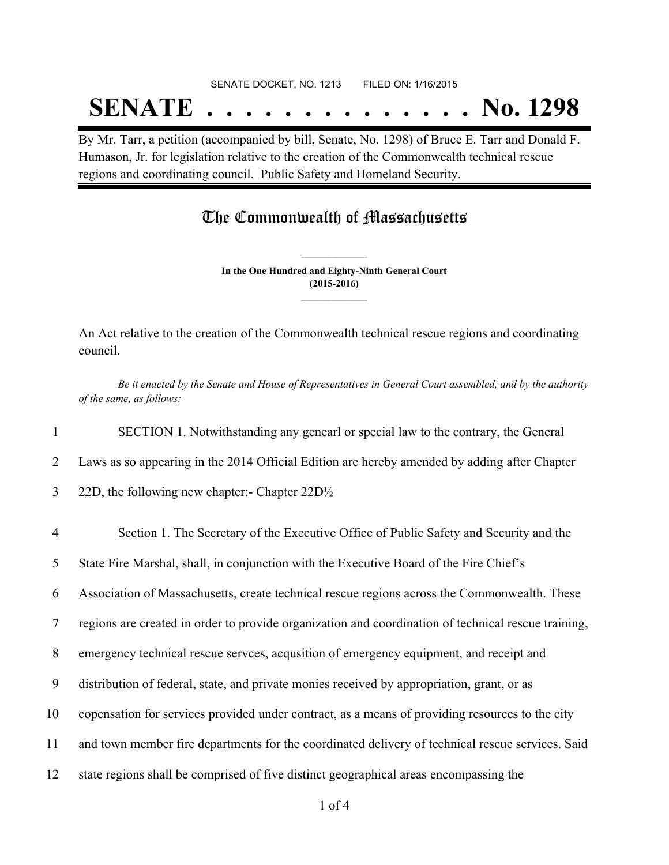## SENATE DOCKET, NO. 1213 FILED ON: 1/16/2015

# **SENATE . . . . . . . . . . . . . . No. 1298**

By Mr. Tarr, a petition (accompanied by bill, Senate, No. 1298) of Bruce E. Tarr and Donald F. Humason, Jr. for legislation relative to the creation of the Commonwealth technical rescue regions and coordinating council. Public Safety and Homeland Security.

### The Commonwealth of Massachusetts

**In the One Hundred and Eighty-Ninth General Court (2015-2016) \_\_\_\_\_\_\_\_\_\_\_\_\_\_\_**

**\_\_\_\_\_\_\_\_\_\_\_\_\_\_\_**

An Act relative to the creation of the Commonwealth technical rescue regions and coordinating council.

Be it enacted by the Senate and House of Representatives in General Court assembled, and by the authority *of the same, as follows:*

1 SECTION 1. Notwithstanding any genearl or special law to the contrary, the General

2 Laws as so appearing in the 2014 Official Edition are hereby amended by adding after Chapter

- 3 22D, the following new chapter:- Chapter 22D½
- 4 Section 1. The Secretary of the Executive Office of Public Safety and Security and the 5 State Fire Marshal, shall, in conjunction with the Executive Board of the Fire Chief's 6 Association of Massachusetts, create technical rescue regions across the Commonwealth. These 7 regions are created in order to provide organization and coordination of technical rescue training, 8 emergency technical rescue servces, acqusition of emergency equipment, and receipt and 9 distribution of federal, state, and private monies received by appropriation, grant, or as 10 copensation for services provided under contract, as a means of providing resources to the city 11 and town member fire departments for the coordinated delivery of technical rescue services. Said 12 state regions shall be comprised of five distinct geographical areas encompassing the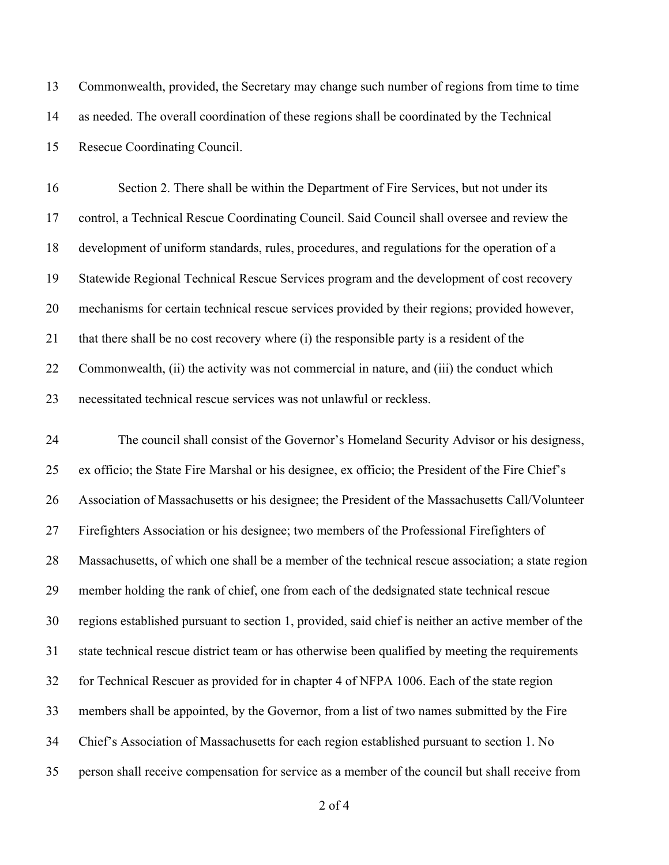Commonwealth, provided, the Secretary may change such number of regions from time to time as needed. The overall coordination of these regions shall be coordinated by the Technical Resecue Coordinating Council.

 Section 2. There shall be within the Department of Fire Services, but not under its control, a Technical Rescue Coordinating Council. Said Council shall oversee and review the development of uniform standards, rules, procedures, and regulations for the operation of a Statewide Regional Technical Rescue Services program and the development of cost recovery mechanisms for certain technical rescue services provided by their regions; provided however, that there shall be no cost recovery where (i) the responsible party is a resident of the 22 Commonwealth, (ii) the activity was not commercial in nature, and (iii) the conduct which necessitated technical rescue services was not unlawful or reckless.

 The council shall consist of the Governor's Homeland Security Advisor or his designess, ex officio; the State Fire Marshal or his designee, ex officio; the President of the Fire Chief's Association of Massachusetts or his designee; the President of the Massachusetts Call/Volunteer Firefighters Association or his designee; two members of the Professional Firefighters of Massachusetts, of which one shall be a member of the technical rescue association; a state region member holding the rank of chief, one from each of the dedsignated state technical rescue regions established pursuant to section 1, provided, said chief is neither an active member of the state technical rescue district team or has otherwise been qualified by meeting the requirements for Technical Rescuer as provided for in chapter 4 of NFPA 1006. Each of the state region members shall be appointed, by the Governor, from a list of two names submitted by the Fire Chief's Association of Massachusetts for each region established pursuant to section 1. No person shall receive compensation for service as a member of the council but shall receive from

of 4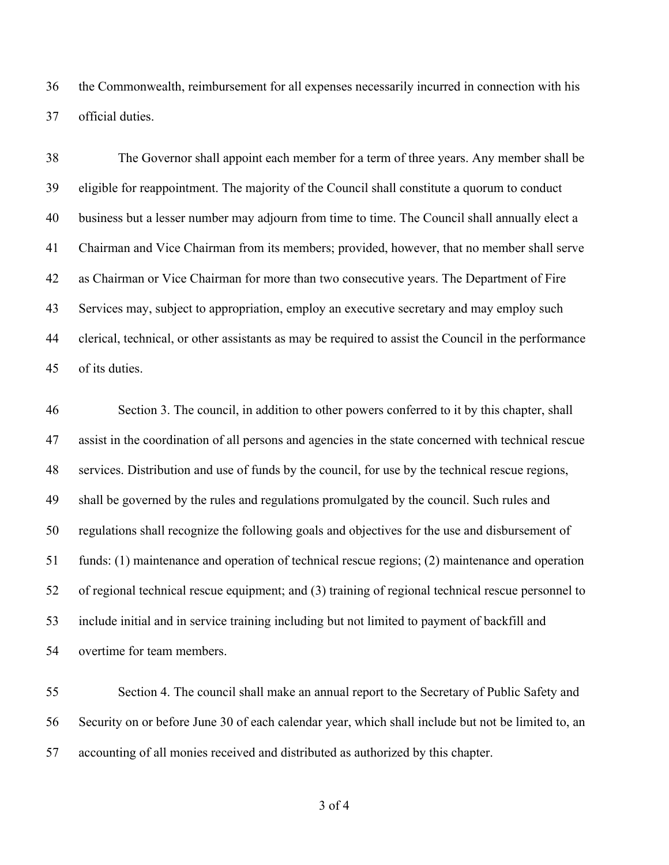the Commonwealth, reimbursement for all expenses necessarily incurred in connection with his official duties.

 The Governor shall appoint each member for a term of three years. Any member shall be eligible for reappointment. The majority of the Council shall constitute a quorum to conduct business but a lesser number may adjourn from time to time. The Council shall annually elect a Chairman and Vice Chairman from its members; provided, however, that no member shall serve as Chairman or Vice Chairman for more than two consecutive years. The Department of Fire Services may, subject to appropriation, employ an executive secretary and may employ such clerical, technical, or other assistants as may be required to assist the Council in the performance of its duties.

 Section 3. The council, in addition to other powers conferred to it by this chapter, shall assist in the coordination of all persons and agencies in the state concerned with technical rescue services. Distribution and use of funds by the council, for use by the technical rescue regions, shall be governed by the rules and regulations promulgated by the council. Such rules and regulations shall recognize the following goals and objectives for the use and disbursement of funds: (1) maintenance and operation of technical rescue regions; (2) maintenance and operation of regional technical rescue equipment; and (3) training of regional technical rescue personnel to include initial and in service training including but not limited to payment of backfill and overtime for team members.

 Section 4. The council shall make an annual report to the Secretary of Public Safety and Security on or before June 30 of each calendar year, which shall include but not be limited to, an accounting of all monies received and distributed as authorized by this chapter.

of 4